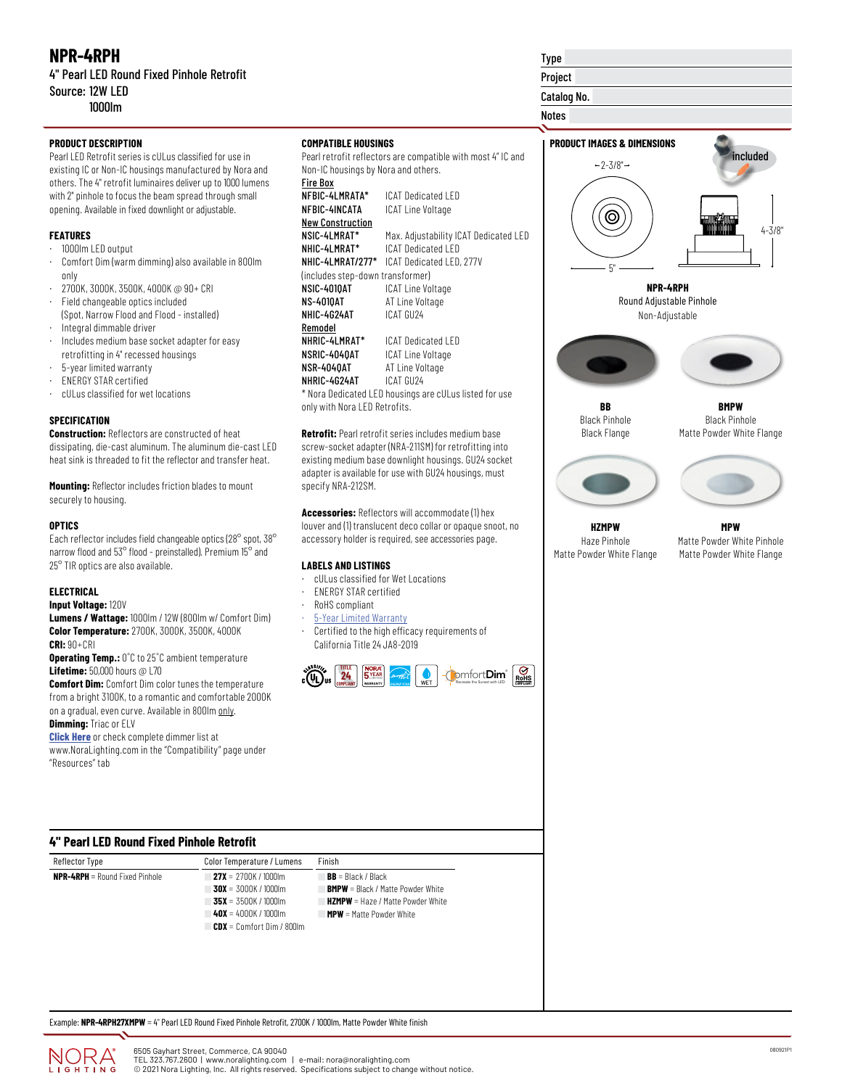# **NPR-4RPH**

## 4" Pearl LED Round Fixed Pinhole Retrofit Source: 12W LED 1000lm

Pearl LED Retrofit series is cULus classified for use in existing IC or Non-IC housings manufactured by Nora and others. The 4" retrofit luminaires deliver up to 1000 lumens with 2" pinhole to focus the beam spread through small opening. Available in fixed downlight or adjustable.

## **FEATURES**

- · 1000lm LED output
- · Comfort Dim (warm dimming) also available in 800lm only
- · 2700K, 3000K, 3500K, 4000K @ 90+ CRI
- · Field changeable optics included (Spot, Narrow Flood and Flood - installed)
- · Integral dimmable driver
- · Includes medium base socket adapter for easy retrofitting in 4" recessed housings
- · 5-year limited warranty
- · ENERGY STAR certified
- · cULus classified for wet locations

## **SPECIFICATION**

**Construction:** Reflectors are constructed of heat dissipating, die-cast aluminum. The aluminum die-cast LED heat sink is threaded to fit the reflector and transfer heat.

**Mounting:** Reflector includes friction blades to mount securely to housing.

#### **OPTICS**

Each reflector includes field changeable optics (28° spot, 38° narrow flood and 53° flood - preinstalled). Premium 15° and 25° TIR optics are also available.

### **ELECTRICAL**

**Input Voltage:** 120V

**Lumens / Wattage:** 1000lm / 12W (800lm w/ Comfort Dim) **Color Temperature:** 2700K, 3000K, 3500K, 4000K **CRI:** 90+CRI

**Operating Temp.:** 0˚C to 25˚C ambient temperature **Lifetime:** 50,000 hours @ L70

**Comfort Dim:** Comfort Dim color tunes the temperature from a bright 3100K, to a romantic and comfortable 2000K on a gradual, even curve. Available in 800lm only. **Dimming:** Triac or ELV

**[Click Here](https://noralighting.com/resources/compatibility/)** or check complete dimmer list at www.NoraLighting.com in the "Compatibility" page under "Resources" tab

## **COMPATIBLE HOUSINGS**

Pearl retrofit reflectors are compatible with most 4" IC and Non-IC housings by Nora and others. Fire Box

| NFBIC-4LMRATA*                   | ICAT Dedicated I FD                                    |
|----------------------------------|--------------------------------------------------------|
| NFBIC-4INCATA                    | ICAT Line Voltage                                      |
| <b>New Construction</b>          |                                                        |
| NSIC-4LMRAT*                     | Max. Adjustability ICAT Dedicated LED                  |
| NHIC-4LMRAT*                     | ICAT Dedicated I FD                                    |
| NHIC-4LMRAT/277*                 | ICAT Dedicated LED, 277V                               |
| (includes step-down transformer) |                                                        |
| NSIC-4010AT                      | <b>ICAT Line Voltage</b>                               |
| <b>NS-4010AT</b>                 | AT Line Voltage                                        |
| NHIC-4G24AT                      | ICAT GU24                                              |
| Remodel                          |                                                        |
| NHRIC-4LMRAT*                    | ICAT Dedicated LFD                                     |
| NSRIC-4040AT                     | ICAT Line Voltage                                      |
| NSR-4040AT                       | AT Line Voltage                                        |
| NHRIC-4G24AT                     | ICAT GU24                                              |
|                                  | * Nora Dedicated LED housings are cULus listed for use |

\* Nora Dedicated LED housings are cULus listed for use only with Nora LED Retrofits.

**Retrofit:** Pearl retrofit series includes medium base screw-socket adapter (NRA-211SM) for retrofitting into existing medium base downlight housings. GU24 socket adapter is available for use with GU24 housings, must specify NRA-212SM.

**Accessories:** Reflectors will accommodate (1) hex louver and (1) translucent deco collar or opaque snoot, no accessory holder is required, see accessories page.

### **LABELS AND LISTINGS**

- · cULus classified for Wet Locations
- · ENERGY STAR certified
- · RoHS compliant
- **[5-Year Limited Warranty](https://noralighting.com/wp-content/uploads/2019/02/Limited-Warranty-Five-Year.pdf)**
- Certified to the high efficacy requirements of California Title 24 JA8-2019



# Type

Project

Catalog No.

Notes







**HZMPW** Haze Pinhole Matte Powder White Flange

**MPW** Matte Powder White Pinhole Matte Powder White Flange

| Reflector Type                        | Color Temperature / Lumens      | Finish                                   |
|---------------------------------------|---------------------------------|------------------------------------------|
| <b>NPR-4RPH</b> = Round Fixed Pinhole | $27X = 2700K / 1000m$           | $BB = Black / Black$                     |
|                                       | $30X = 3000K / 1000m$           | <b>BMPW</b> = Black / Matte Powder White |
|                                       | $135X = 3500K / 1000km$         | <b>HZMPW</b> = Haze / Matte Powder White |
|                                       | $\blacktriangle$ 4000K / 1000lm | $MPW =$ Matte Powder White               |
|                                       | $CDX =$ Comfort Dim / 800lm     |                                          |

Example: **NPR-4RPH27XMPW** = 4" Pearl LED Round Fixed Pinhole Retrofit, 2700K / 1000lm, Matte Powder White finish

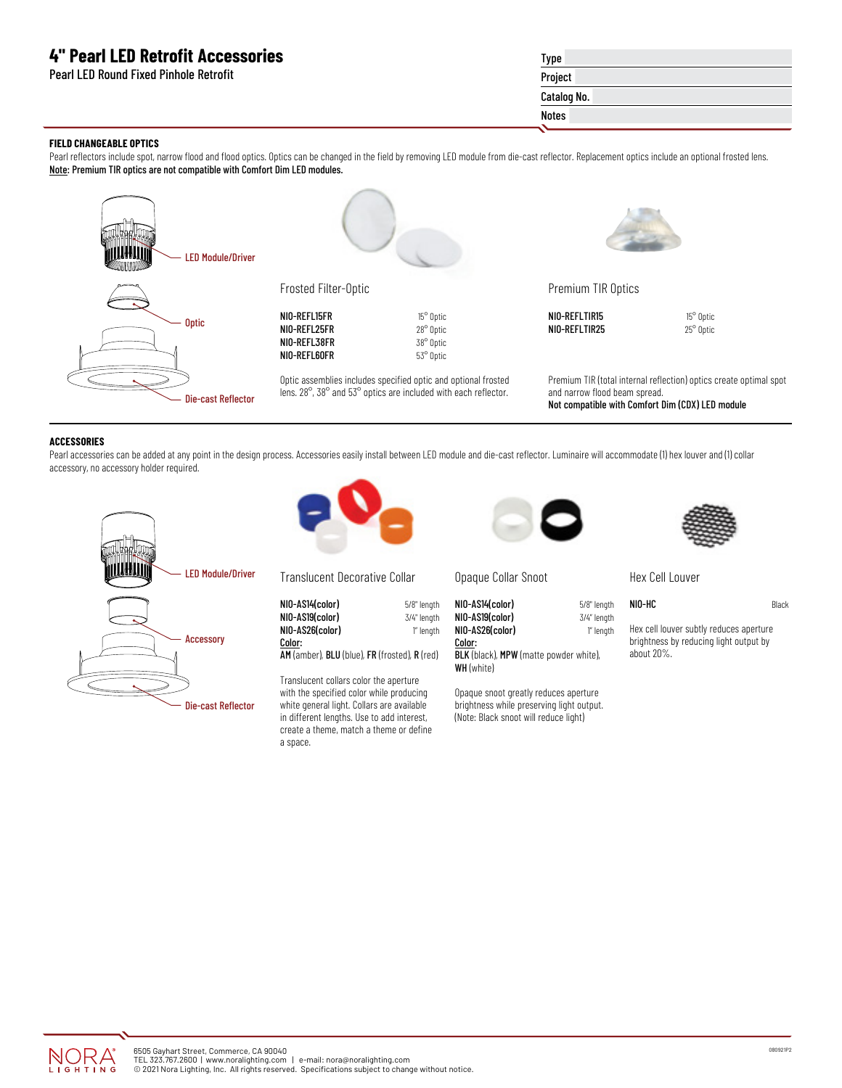# **4" Pearl LED Retrofit Accessories**

Pearl LED Round Fixed Pinhole Retrofit

# Type Project Catalog No. Notes

## **FIELD CHANGEABLE OPTICS**

Pearl reflectors include spot, narrow flood and flood optics. Optics can be changed in the field by removing LED module from die-cast reflector. Replacement optics include an optional frosted lens. Note: Premium TIR optics are not compatible with Comfort Dim LED modules.



#### **ACCESSORIES**

Pearl accessories can be added at any point in the design process. Accessories easily install between LED module and die-cast reflector. Luminaire will accommodate (1) hex louver and (1) collar accessory, no accessory holder required.

> 5/8" length 3/4" length 1" length





Translucent Decorative Collar

| NIO-AS14(color) |  |
|-----------------|--|
| NIO-AS19(color) |  |
| NIO-AS26(color) |  |
| Color:          |  |
|                 |  |

AM (amber), BLU (blue), FR (frosted), R (red)

Translucent collars color the aperture with the specified color while producing white general light. Collars are available in different lengths. Use to add interest, create a theme, match a theme or define a space.



Opaque Collar Snoot

| NIO-AS14(color) |  |
|-----------------|--|
| NIO-AS19(color) |  |
| NIO-AS26(color) |  |
| Color:          |  |

BLK (black), MPW (matte powder white), WH (white)

Opaque snoot greatly reduces aperture brightness while preserving light output. (Note: Black snoot will reduce light)



Hex Cell Louver

| 5/8" length | NIO-HC | Black |
|-------------|--------|-------|
| 3/4" length |        |       |

1" length

Hex cell louver subtly reduces aperture brightness by reducing light output by about 20%.